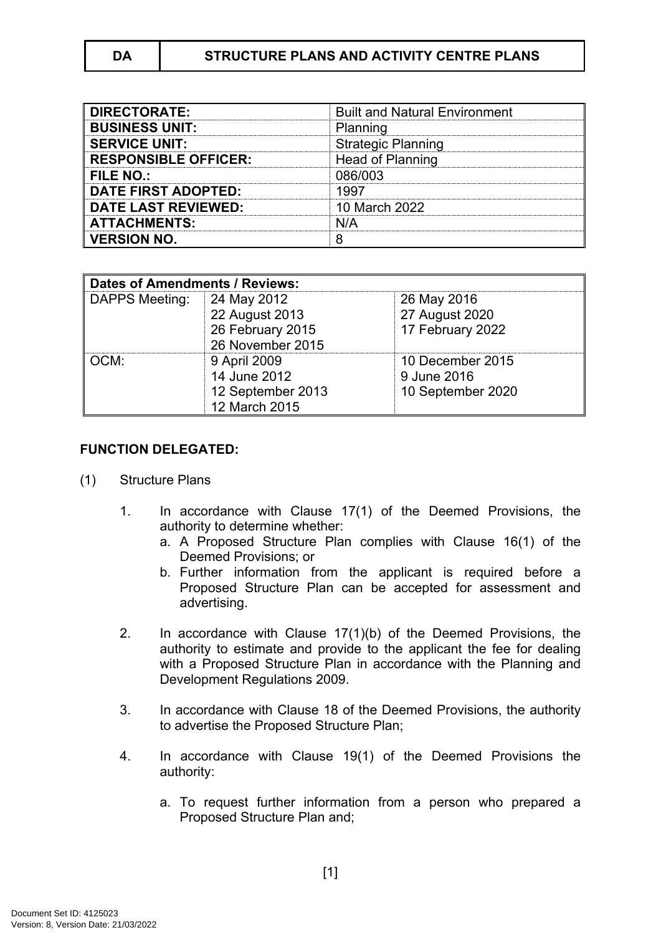| <b>DIRECTORATE:</b>         | <b>Built and Natural Environment</b> |
|-----------------------------|--------------------------------------|
| <b>BUSINESS UNIT:</b>       | Planning                             |
| <b>SERVICE UNIT:</b>        | <b>Strategic Planning</b>            |
| <b>RESPONSIBLE OFFICER:</b> | Head of Planning                     |
| <b>FILE NO.:</b>            | 086/003                              |
| <b>DATE FIRST ADOPTED:</b>  | 1997                                 |
| <b>DATE LAST REVIEWED:</b>  | 10 March 2022                        |
| <b>ATTACHMENTS:</b>         | N/A                                  |
| <b>VERSION NO.</b>          |                                      |

| <b>Dates of Amendments / Reviews:</b> |                                                                    |                                                      |
|---------------------------------------|--------------------------------------------------------------------|------------------------------------------------------|
| DAPPS Meeting:                        | 24 May 2012<br>22 August 2013                                      | 26 May 2016<br>27 August 2020                        |
|                                       | 26 February 2015<br>26 November 2015                               | 17 February 2022                                     |
| OCM:                                  | 9 April 2009<br>14 June 2012<br>12 September 2013<br>12 March 2015 | 10 December 2015<br>9 June 2016<br>10 September 2020 |

### **FUNCTION DELEGATED:**

- (1) Structure Plans
	- 1. In accordance with Clause 17(1) of the Deemed Provisions, the authority to determine whether:
		- a. A Proposed Structure Plan complies with Clause 16(1) of the Deemed Provisions; or
		- b. Further information from the applicant is required before a Proposed Structure Plan can be accepted for assessment and advertising.
	- 2. In accordance with Clause 17(1)(b) of the Deemed Provisions, the authority to estimate and provide to the applicant the fee for dealing with a Proposed Structure Plan in accordance with the Planning and Development Regulations 2009.
	- 3. In accordance with Clause 18 of the Deemed Provisions, the authority to advertise the Proposed Structure Plan;
	- 4. In accordance with Clause 19(1) of the Deemed Provisions the authority:
		- a. To request further information from a person who prepared a Proposed Structure Plan and;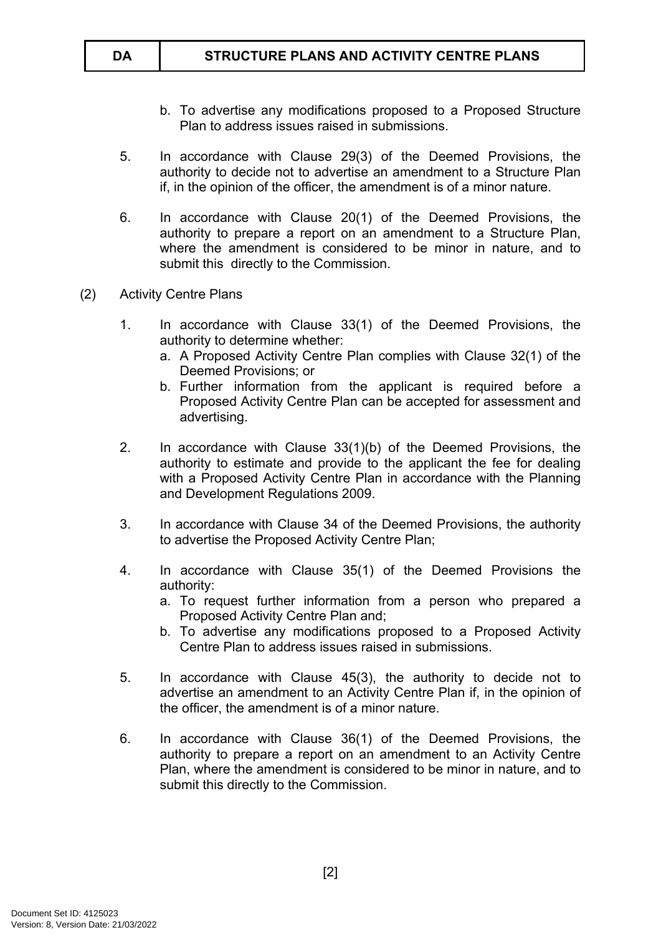- b. To advertise any modifications proposed to a Proposed Structure Plan to address issues raised in submissions.
- 5. In accordance with Clause 29(3) of the Deemed Provisions, the authority to decide not to advertise an amendment to a Structure Plan if, in the opinion of the officer, the amendment is of a minor nature.
- 6. In accordance with Clause 20(1) of the Deemed Provisions, the authority to prepare a report on an amendment to a Structure Plan, where the amendment is considered to be minor in nature, and to submit this directly to the Commission.
- (2) Activity Centre Plans
	- 1. In accordance with Clause 33(1) of the Deemed Provisions, the authority to determine whether:
		- a. A Proposed Activity Centre Plan complies with Clause 32(1) of the Deemed Provisions; or
		- b. Further information from the applicant is required before a Proposed Activity Centre Plan can be accepted for assessment and advertising.
	- 2. In accordance with Clause 33(1)(b) of the Deemed Provisions, the authority to estimate and provide to the applicant the fee for dealing with a Proposed Activity Centre Plan in accordance with the Planning and Development Regulations 2009.
	- 3. In accordance with Clause 34 of the Deemed Provisions, the authority to advertise the Proposed Activity Centre Plan;
	- 4. In accordance with Clause 35(1) of the Deemed Provisions the authority:
		- a. To request further information from a person who prepared a Proposed Activity Centre Plan and;
		- b. To advertise any modifications proposed to a Proposed Activity Centre Plan to address issues raised in submissions.
	- 5. In accordance with Clause 45(3), the authority to decide not to advertise an amendment to an Activity Centre Plan if, in the opinion of the officer, the amendment is of a minor nature.
	- 6. In accordance with Clause 36(1) of the Deemed Provisions, the authority to prepare a report on an amendment to an Activity Centre Plan, where the amendment is considered to be minor in nature, and to submit this directly to the Commission.